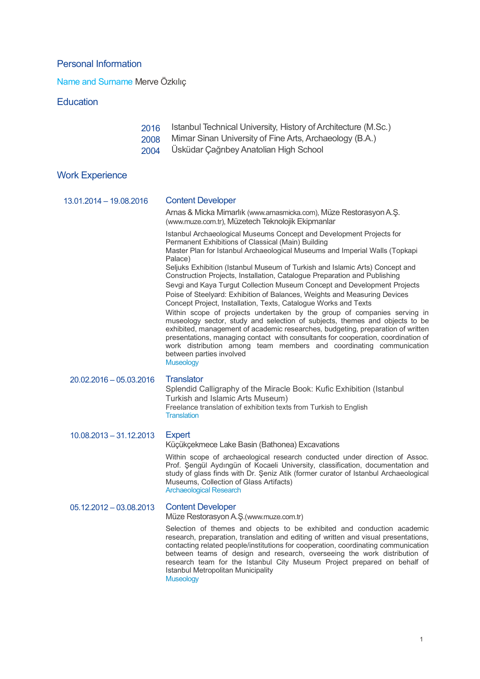## Personal Information

Name and Surname Merve Özkılıç

### **Education**

| 2016 | Istanbul Technical University, History of Architecture (M.Sc.) |
|------|----------------------------------------------------------------|
| 2008 | Mimar Sinan University of Fine Arts, Archaeology (B.A.)        |
| 2004 | Üsküdar Çağrıbey Anatolian High School                         |

# Work Experience

| 13.01.2014 - 19.08.2016   | <b>Content Developer</b>                                                                                                                                                                                                                                                                                                                                                                                                                                                                                                                                                                                                            |
|---------------------------|-------------------------------------------------------------------------------------------------------------------------------------------------------------------------------------------------------------------------------------------------------------------------------------------------------------------------------------------------------------------------------------------------------------------------------------------------------------------------------------------------------------------------------------------------------------------------------------------------------------------------------------|
|                           | Arnas & Micka Mimarlık (www.arnasmicka.com), Müze Restorasyon A.Ş.<br>(www.muze.com.tr), Müzetech Teknolojik Ekipmanlar                                                                                                                                                                                                                                                                                                                                                                                                                                                                                                             |
|                           | Istanbul Archaeological Museums Concept and Development Projects for<br>Permanent Exhibitions of Classical (Main) Building<br>Master Plan for Istanbul Archaeological Museums and Imperial Walls (Topkapi<br>Palace)                                                                                                                                                                                                                                                                                                                                                                                                                |
|                           | Seljuks Exhibition (Istanbul Museum of Turkish and Islamic Arts) Concept and<br>Construction Projects, Installation, Catalogue Preparation and Publishing<br>Sevgi and Kaya Turgut Collection Museum Concept and Development Projects<br>Poise of Steelyard: Exhibition of Balances, Weights and Measuring Devices<br>Concept Project, Installation, Texts, Catalogue Works and Texts<br>Within scope of projects undertaken by the group of companies serving in<br>museology sector, study and selection of subjects, themes and objects to be<br>exhibited, management of academic researches, budgeting, preparation of written |
|                           | presentations, managing contact with consultants for cooperation, coordination of<br>work distribution among team members and coordinating communication<br>between parties involved<br><b>Museology</b>                                                                                                                                                                                                                                                                                                                                                                                                                            |
| 20.02.2016 - 05.03.2016   | <b>Translator</b><br>Splendid Calligraphy of the Miracle Book: Kufic Exhibition (Istanbul<br>Turkish and Islamic Arts Museum)<br>Freelance translation of exhibition texts from Turkish to English<br><b>Translation</b>                                                                                                                                                                                                                                                                                                                                                                                                            |
| $10.08.2013 - 31.12.2013$ | <b>Expert</b><br>Küçükçekmece Lake Basin (Bathonea) Excavations                                                                                                                                                                                                                                                                                                                                                                                                                                                                                                                                                                     |
|                           | Within scope of archaeological research conducted under direction of Assoc.<br>Prof. Şengül Aydıngün of Kocaeli University, classification, documentation and<br>study of glass finds with Dr. Şeniz Atik (former curator of Istanbul Archaeological<br>Museums, Collection of Glass Artifacts)<br><b>Archaeological Research</b>                                                                                                                                                                                                                                                                                                   |
| $05.12.2012 - 03.08.2013$ | <b>Content Developer</b><br>Müze Restorasyon A.Ş. (www.muze.com.tr)                                                                                                                                                                                                                                                                                                                                                                                                                                                                                                                                                                 |
|                           | Selection of themes and objects to be exhibited and conduction academic<br>research, preparation, translation and editing of written and visual presentations,<br>contacting related people/institutions for cooperation, coordinating communication<br>between teams of design and research, overseeing the work distribution of<br>research team for the Istanbul City Museum Project prepared on behalf of<br>Istanbul Metropolitan Municipality                                                                                                                                                                                 |

Museology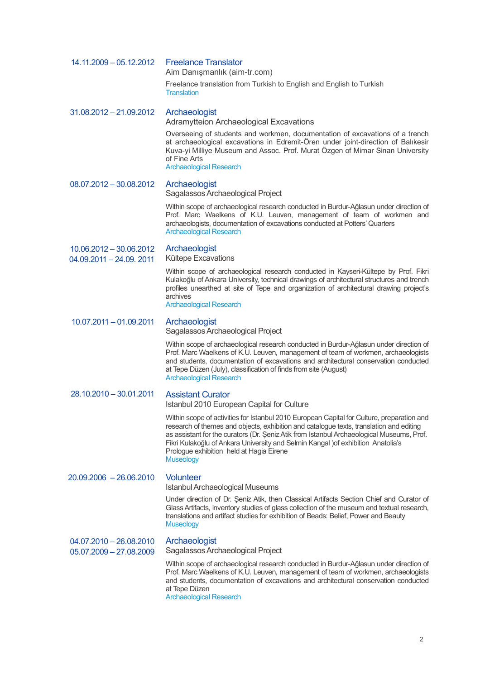| 14.11.2009 - 05.12.2012                                | <b>Freelance Translator</b><br>Aim Danışmanlık (aim-tr.com)                                                                                                                                                                                                                                                                                                                                                                             |
|--------------------------------------------------------|-----------------------------------------------------------------------------------------------------------------------------------------------------------------------------------------------------------------------------------------------------------------------------------------------------------------------------------------------------------------------------------------------------------------------------------------|
|                                                        | Freelance translation from Turkish to English and English to Turkish<br><b>Translation</b>                                                                                                                                                                                                                                                                                                                                              |
| $31.08.2012 - 21.09.2012$                              | Archaeologist<br>Adramytteion Archaeological Excavations                                                                                                                                                                                                                                                                                                                                                                                |
|                                                        | Overseeing of students and workmen, documentation of excavations of a trench<br>at archaeological excavations in Edremit-Ören under joint-direction of Balıkesir<br>Kuva-yi Milliye Museum and Assoc. Prof. Murat Özgen of Mimar Sinan University<br>of Fine Arts<br><b>Archaeological Research</b>                                                                                                                                     |
| $08.07.2012 - 30.08.2012$                              | Archaeologist<br>Sagalassos Archaeological Project                                                                                                                                                                                                                                                                                                                                                                                      |
|                                                        | Within scope of archaeological research conducted in Burdur-Ağlasun under direction of<br>Prof. Marc Waelkens of K.U. Leuven, management of team of workmen and<br>archaeologists, documentation of excavations conducted at Potters' Quarters<br><b>Archaeological Research</b>                                                                                                                                                        |
| $10.06.2012 - 30.06.2012$<br>04.09.2011 - 24.09. 2011  | Archaeologist<br>Kültepe Excavations                                                                                                                                                                                                                                                                                                                                                                                                    |
|                                                        | Within scope of archaeological research conducted in Kayseri-Kültepe by Prof. Fikri<br>Kulakoğlu of Ankara University, technical drawings of architectural structures and trench<br>profiles unearthed at site of Tepe and organization of architectural drawing project's<br>archives<br><b>Archaeological Research</b>                                                                                                                |
| 10.07.2011 - 01.09.2011                                | Archaeologist<br>Sagalassos Archaeological Project                                                                                                                                                                                                                                                                                                                                                                                      |
|                                                        | Within scope of archaeological research conducted in Burdur-Ağlasun under direction of<br>Prof. Marc Waelkens of K.U. Leuven, management of team of workmen, archaeologists<br>and students, documentation of excavations and architectural conservation conducted<br>at Tepe Düzen (July), classification of finds from site (August)<br><b>Archaeological Research</b>                                                                |
| 28.10.2010 - 30.01.2011                                | <b>Assistant Curator</b><br>Istanbul 2010 European Capital for Culture                                                                                                                                                                                                                                                                                                                                                                  |
|                                                        | Within scope of activities for Istanbul 2010 European Capital for Culture, preparation and<br>research of themes and objects, exhibition and catalogue texts, translation and editing<br>as assistant for the curators (Dr. Şeniz Atik from Istanbul Archaeological Museums, Prof.<br>Fikri Kulakoğlu of Ankara University and Selmin Kangal ) of exhibition Anatolia's<br>Prologue exhibition held at Hagia Eirene<br><b>Museology</b> |
| 20.09.2006 - 26.06.2010                                | <b>Volunteer</b><br>Istanbul Archaeological Museums                                                                                                                                                                                                                                                                                                                                                                                     |
|                                                        | Under direction of Dr. Şeniz Atik, then Classical Artifacts Section Chief and Curator of<br>Glass Artifacts, inventory studies of glass collection of the museum and textual research,<br>translations and artifact studies for exhibition of Beads: Belief, Power and Beauty<br><b>Museology</b>                                                                                                                                       |
| $04.07.2010 - 26.08.2010$<br>$05.07.2009 - 27.08.2009$ | Archaeologist<br>Sagalassos Archaeological Project                                                                                                                                                                                                                                                                                                                                                                                      |
|                                                        | Within scope of archaeological research conducted in Burdur-Ağlasun under direction of<br>Prof. Marc Waelkens of K.U. Leuven, management of team of workmen, archaeologists<br>and students, documentation of excavations and architectural conservation conducted<br>at Tepe Düzen<br><b>Archaeological Research</b>                                                                                                                   |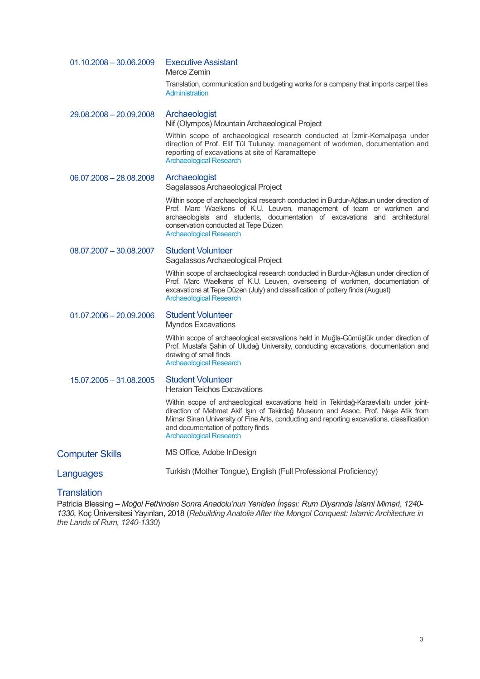| $01.10.2008 - 30.06.2009$ | <b>Executive Assistant</b><br>Merce Zemin                                                                                                                                                                                                                                                                                                      |
|---------------------------|------------------------------------------------------------------------------------------------------------------------------------------------------------------------------------------------------------------------------------------------------------------------------------------------------------------------------------------------|
|                           | Translation, communication and budgeting works for a company that imports carpet tiles<br>Administration                                                                                                                                                                                                                                       |
| 29.08.2008 - 20.09.2008   | Archaeologist<br>Nif (Olympos) Mountain Archaeological Project                                                                                                                                                                                                                                                                                 |
|                           | Within scope of archaeological research conducted at Izmir-Kemalpaşa under<br>direction of Prof. Elif Tül Tulunay, management of workmen, documentation and<br>reporting of excavations at site of Karamattepe<br><b>Archaeological Research</b>                                                                                               |
| $06.07,2008 - 28.08,2008$ | Archaeologist<br>Sagalassos Archaeological Project                                                                                                                                                                                                                                                                                             |
|                           | Within scope of archaeological research conducted in Burdur-Ağlasun under direction of<br>Prof. Marc Waelkens of K.U. Leuven, management of team or workmen and<br>archaeologists and students, documentation of excavations and architectural<br>conservation conducted at Tepe Düzen<br><b>Archaeological Research</b>                       |
| $08.07.2007 - 30.08.2007$ | <b>Student Volunteer</b><br>Sagalassos Archaeological Project                                                                                                                                                                                                                                                                                  |
|                           | Within scope of archaeological research conducted in Burdur-Ağlasun under direction of<br>Prof. Marc Waelkens of K.U. Leuven, overseeing of workmen, documentation of<br>excavations at Tepe Düzen (July) and classification of pottery finds (August)<br><b>Archaeological Research</b>                                                       |
| $01.07.2006 - 20.09.2006$ | <b>Student Volunteer</b><br><b>Myndos Excavations</b>                                                                                                                                                                                                                                                                                          |
|                           | Within scope of archaeological excavations held in Muğla-Gümüşlük under direction of<br>Prof. Mustafa Sahin of Uludağ University, conducting excavations, documentation and<br>drawing of small finds<br><b>Archaeological Research</b>                                                                                                        |
| 15.07.2005 - 31.08.2005   | <b>Student Volunteer</b><br><b>Heraion Teichos Excavations</b>                                                                                                                                                                                                                                                                                 |
|                           | Within scope of archaeological excavations held in Tekirdağ-Karaevlialtı under joint-<br>direction of Mehmet Akif Işın of Tekirdağ Museum and Assoc. Prof. Neşe Atik from<br>Mimar Sinan University of Fine Arts, conducting and reporting excavations, classification<br>and documentation of pottery finds<br><b>Archaeological Research</b> |
| <b>Computer Skills</b>    | MS Office, Adobe InDesign                                                                                                                                                                                                                                                                                                                      |
| Languages                 | Turkish (Mother Tongue), English (Full Professional Proficiency)                                                                                                                                                                                                                                                                               |

#### **Translation**

Patricia Blessing – *Moğol Fethinden Sonra Anadolu'nun Yeniden İnşası: Rum Diyarında İslami Mimari, 1240- 1330,* Koç Üniversitesi Yayınları, 2018 (*Rebuilding Anatolia After the Mongol Conquest: Islamic Architecture in the Lands of Rum, 1240-1330*)